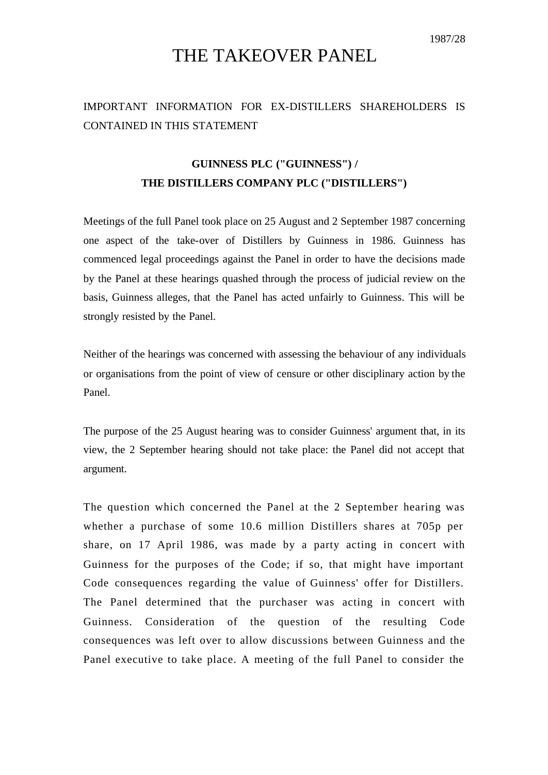1987/28

## THE TAKEOVER PANEL

## IMPORTANT INFORMATION FOR EX-DISTILLERS SHAREHOLDERS IS CONTAINED IN THIS STATEMENT

## **GUINNESS PLC ("GUINNESS") / THE DISTILLERS COMPANY PLC ("DISTILLERS")**

Meetings of the full Panel took place on 25 August and 2 September 1987 concerning one aspect of the take-over of Distillers by Guinness in 1986. Guinness has commenced legal proceedings against the Panel in order to have the decisions made by the Panel at these hearings quashed through the process of judicial review on the basis, Guinness alleges, that the Panel has acted unfairly to Guinness. This will be strongly resisted by the Panel.

Neither of the hearings was concerned with assessing the behaviour of any individuals or organisations from the point of view of censure or other disciplinary action by the Panel.

The purpose of the 25 August hearing was to consider Guinness' argument that, in its view, the 2 September hearing should not take place: the Panel did not accept that argument.

The question which concerned the Panel at the 2 September hearing was whether a purchase of some 10.6 million Distillers shares at 705p per share, on 17 April 1986, was made by a party acting in concert with Guinness for the purposes of the Code; if so, that might have important Code consequences regarding the value of Guinness' offer for Distillers. The Panel determined that the purchaser was acting in concert with Guinness. Consideration of the question of the resulting Code consequences was left over to allow discussions between Guinness and the Panel executive to take place. A meeting of the full Panel to consider the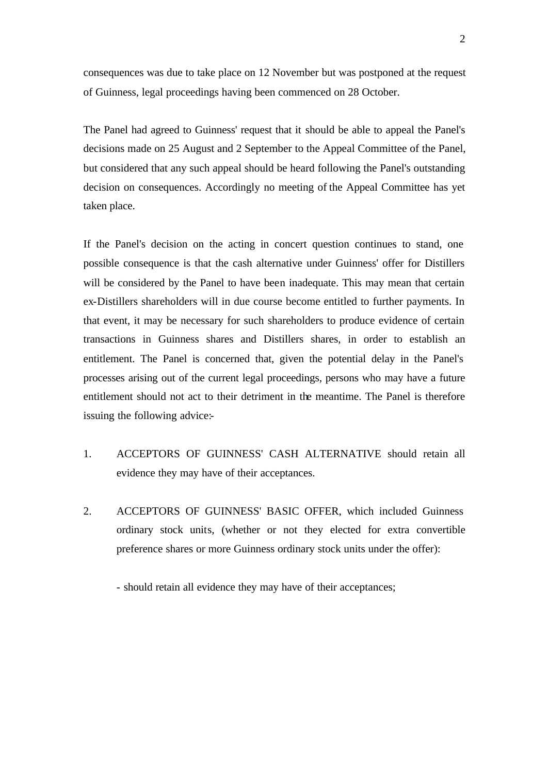consequences was due to take place on 12 November but was postponed at the request of Guinness, legal proceedings having been commenced on 28 October.

The Panel had agreed to Guinness' request that it should be able to appeal the Panel's decisions made on 25 August and 2 September to the Appeal Committee of the Panel, but considered that any such appeal should be heard following the Panel's outstanding decision on consequences. Accordingly no meeting of the Appeal Committee has yet taken place.

If the Panel's decision on the acting in concert question continues to stand, one possible consequence is that the cash alternative under Guinness' offer for Distillers will be considered by the Panel to have been inadequate. This may mean that certain ex-Distillers shareholders will in due course become entitled to further payments. In that event, it may be necessary for such shareholders to produce evidence of certain transactions in Guinness shares and Distillers shares, in order to establish an entitlement. The Panel is concerned that, given the potential delay in the Panel's processes arising out of the current legal proceedings, persons who may have a future entitlement should not act to their detriment in the meantime. The Panel is therefore issuing the following advice:-

- 1. ACCEPTORS OF GUINNESS' CASH ALTERNATIVE should retain all evidence they may have of their acceptances.
- 2. ACCEPTORS OF GUINNESS' BASIC OFFER, which included Guinness ordinary stock units, (whether or not they elected for extra convertible preference shares or more Guinness ordinary stock units under the offer):

- should retain all evidence they may have of their acceptances;